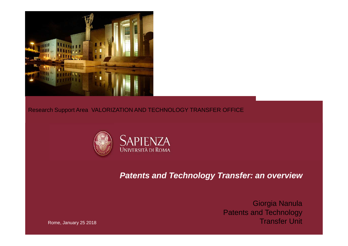

### Research Support Area VALORIZATION AND TECHNOLOGY TRANSFER OFFICE



### **Patents and Technology Transfer: an overview**

Giorgia Nanula Patents and Technology Transfer Unit

Rome, January 25 2018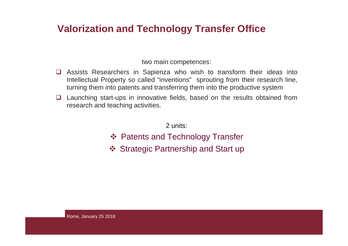### **Valorization and Technology Transfer Office**

two main competences:

- Assists Researchers in Sapienza who wish to transform their ideas into<br>Intellectual Property so called "inventions" sprouting from their research line Intellectual Property so called "inventions" sprouting from their research line, turning them into patents and transferring them into the productive system
- $\Box$  Launching start-ups in innovative fields, based on the results obtained from<br>research and teaching activities research and teaching activities.

2 units:

- ❖ Patents and Technology Transfer
- ❖ Strategic Partnership and Start up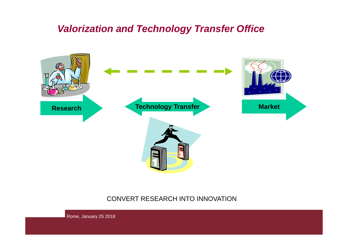### **Valorization and Technology Transfer Office**



### CONVERT RESEARCH INTO INNOVATION

Rome, January 25 2018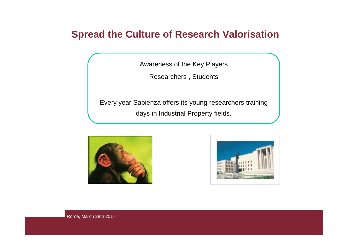### **Spread the Culture of Research Valorisation**

Awareness of the Key Players

Researchers , Students

Every year Sapienza offers its young researchers training days in Industrial Property fields.





Rome, March 28th 2017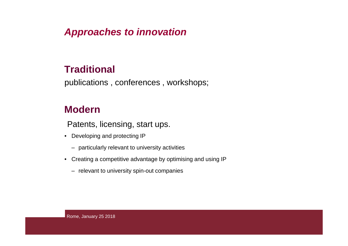### **Approaches to innovation**

### **Traditional**

publications , conferences , workshops;

### **Modern**

Patents, licensing, start ups.

- Developing and protecting IP
	- $-$  particularly relevant to university activities
- Creating a competitive advantage by optimising and using IP
	- $-$  relevant to university spin-out companies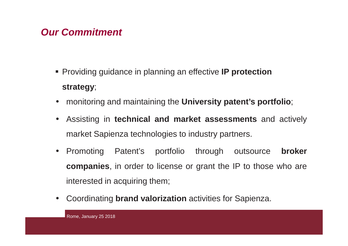### **Our Commitment**

- Providing guidance in planning an effective **IP protection strategy**;
- monitoring and maintaining the **University patent's portfolio**;
- • Assisting in **technical and market assessments** and actively market Sapienza technologies to industry partners.
- • Promoting Patent's portfolio through outsource **broker companies**, in order to license or grant the IP to those who areinterested in acquiring them;
- •Coordinating **brand valorization** activities for Sapienza.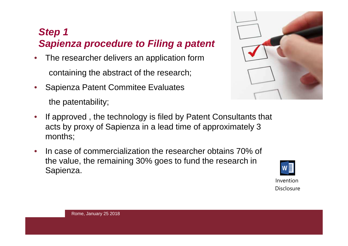# **Step <sup>1</sup>Sapienza procedure to Filing a patent**

- • The researcher delivers an application formcontaining the abstract of the research;
- $\bullet$  Sapienza Patent Commitee Evaluatesthe patentability;
- 
- $\bullet$  If approved , the technology is filed by Patent Consultants that acts by proxy of Sapienza in a lead time of approximately 3 months;
- • In case of commercialization the researcher obtains 70% of the value, the remaining 30% goes to fund the research in Sapienza.



Disclosure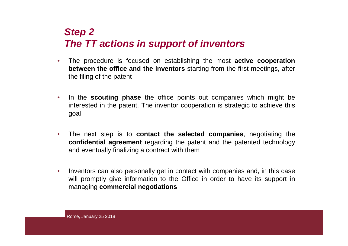# **Step <sup>2</sup> The TT actions in support of inventors**

- • The procedure is focused on establishing the most **active cooperation between the office and the inventors** starting from the first meetings, after the filing of the patent
- $\bullet$ • In the **scouting phase** the office points out companies which might be interested in the patent. The inventor cooperation is strategic to achieve thisgoal
- $\bullet$  The next step is to **contact the selected companies**, negotiating the **confidential agreement** regarding the patent and the patented technologyand eventually finalizing <sup>a</sup> contract with them
- $\bullet$ • Inventors can also personally get in contact with companies and, in this case will promptly give information to the Office in order to have its support in managing **commercial negotiations**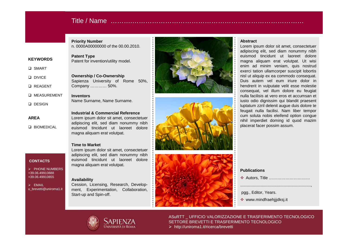### Title / Name ……….……………………………………………………………………

Company ………… 50%.

Name Surname, Name Surname.

magna aliquam erat volutpat.

magna aliquam erat volutpat.

**Time to Market**

**Availability**

Start-up and Spin-off.

**Industrial & Commercial Reference** Lorem ipsum dolor sit amet, consectetuer adipiscing elit, sed diam nonummy nibheuismod tincidunt ut laoreet dolore

**Patent Type**

**Inventors**

**Priority Number**n. 0000A00000000 of the 00.00.2010.

Sapienza University of Rome 50%,

#### **KEYWORDS**

- **□ SMART**
- **Q** DIVICE
- **Q** REAGENT
- MEASUREMENT
- 
- $\square$  DESIGN
- 
- **AREA**
- 

### **Q** BIOMEDICAL

#### **CONTACTS**

> PHONE NUMBERS +39.06.49910888+39.06.49910855

D EMAIL<br>U brovetti u\_brevetti@uniroma1.it

# Patent for invention/utility model. **Ownership / Co-Ownership**





#### **Abstract**

 Lorem ipsum dolor sit amet, consectetuer adipiscing elit, sed diam nonummy nibh euismod tincidunt ut laoreet dolore magna aliquam erat volutpat. Ut wisi enim ad minim veniam, quis nostrud exerci tation ullamcorper suscipit lobortis nisl ut aliquip ex ea commodo consequat. Duis autem vel eum iriure dolor in hendrerit in vulputate velit esse molestie consequat, vel illum dolore eu feugiat nulla facilisis at vero eros et accumsan et iusto odio dignissim qui blandit praesent luptatum zzril delenit augue duis dolore te feugait nulla facilisi. Nam liber tempor cum soluta nobis eleifend option congue nihil imperdiet doming id quod mazimplacerat facer possim assum.

#### **Publications**

..............................................................,

pgg., Editor, Years.

www.mindfraehjjjdksj.it



ASuRTT \_ UFFICIO VALORIZZAZIONE E TRASFERIMENTO TECNOLOGICOSETTORE BREVETTI E TRASFERIMENTO TECNOLOGICOhttp://uniroma1.it/ricerca/brevetti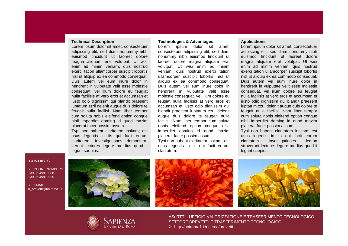#### **Technical Description**

 Lorem ipsum dolor sit amet, consectetuer adipiscing elit, sed diam nonummy nibh euismod tincidunt ut laoreet dolore magna aliquam erat volutpat. Ut wisi enim ad minim veniam, quis nostrud exerci tation ullamcorper suscipit lobortis nisl ut aliquip ex ea commodo consequat. Duis autem vel eum iriure dolor in hendrerit in vulputate velit esse molestie consequat, vel illum dolore eu feugiat nulla facilisis at vero eros et accumsan et iusto odio dignissim qui blandit praesent luptatum zzril delenit augue duis dolore te feugait nulla facilisi. Nam liber tempor cum soluta nobis eleifend option congue nihil imperdiet doming id quod mazimplacerat facer possim assum.

Typi non habent claritatem insitam; est usus legentis in iis qui facit eorum claritatem. Investigationes demonstraverunt lectores legere me lius quod ii legunt saepius.

#### **Technologies & Advantages**

 Lorem ipsum dolor sit amet, consectetuer adipiscing elit, sed diam nonummy nibh euismod tincidunt ut laoreet dolore magna aliquam erat volutpat. Ut wisi enim ad minim veniam, quis nostrud exerci tation ullamcorper suscipit lobortis nisl ut aliquip ex ea commodo consequat. Duis autem vel eum iriure dolor in hendrerit in vulputate velit esse molestie consequat, vel illum dolore eu feugiat nulla facilisis at vero eros et accumsan et iusto odio dignissim qui blandit praesent luptatum zzril delenit augue duis dolore te feugait nulla facilisi. Nam liber tempor cum soluta nobis eleifend option congue nihil imperdiet doming id quod mazimplacerat facer possim assum.

Typi non habent claritatem insitam; est usus legentis in iis qui facit eorumclaritatem.

#### **Applications**

 Lorem ipsum dolor sit amet, consectetuer adipiscing elit, sed diam nonummy nibh euismod tincidunt ut laoreet dolore magna aliquam erat volutpat. Ut wisi enim ad minim veniam, quis nostrud exerci tation ullamcorper suscipit lobortis nisl ut aliquip ex ea commodo consequat. Duis autem vel eum iriure dolor in hendrerit in vulputate velit esse molestie consequat, vel illum dolore eu feugiat nulla facilisis at vero eros et accumsan et iusto odio dignissim qui blandit praesent luptatum zzril delenit augue duis dolore te feugait nulla facilisi. Nam liber tempor cum soluta nobis eleifend option congue nihil imperdiet doming id quod mazimplacerat facer possim assum.

Typi non habent claritatem insitam; est usus legentis in iis qui facit eorumdemon claritatem. Investigationes straverunt lectores legere me lius quod ii legunt saepius.

#### **CONTACTS**

> PHONE NUMBERS +39.06.49910888+39.06.49910855

D EMAIL<br>U brovetti u\_brevetti@uniroma1.it







ASuRTT \_ UFFICIO VALORIZZAZIONE E TRASFERIMENTO TECNOLOGICOSETTORE BREVETTI E TRASFERIMENTO TECNOLOGICOhttp://uniroma1.it/ricerca/brevetti

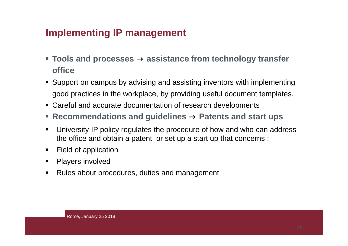### **Implementing IP management**

- **Tools and processes → assistance from technology transfer office**
- Support on campus by advising and assisting inventors with implementing good practices in the workplace, by providing useful document templates.
- Careful and accurate documentation of research developments
- Recommendations and guidelines → Patents and start ups<br>
→ Patents and start ups
- ш University IP policy regulates the procedure of how and who can address the office and obtain a patent or set up a start up that concerns :
- $\blacksquare$ Field of application
- $\blacksquare$ Players involved
- $\blacksquare$ Rules about procedures, duties and management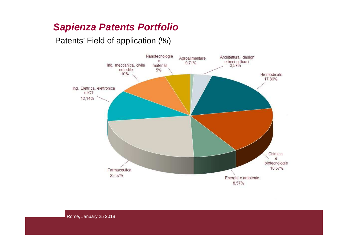# **Sapienza Patents Portfolio**

Patents' Field of application (%)

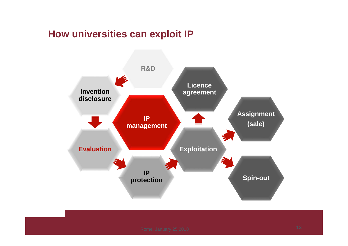### **How universities can exploit IP**



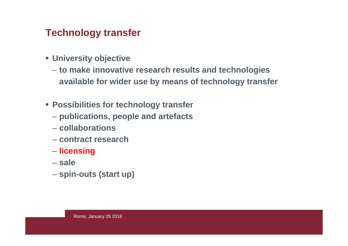### **Technology transfer**

- **University objective**
	- $\overline{\phantom{a}}$  **to make innovative research results and technologies available for wider use by means of technology transfer**
- **Possibilities for technology transfer**
	- **publications, people and artefacts**
	- **collaborations**
	- **contract research**
	- **licensing**
	- $\mathcal{L}_{\mathcal{A}}$  , where  $\mathcal{L}_{\mathcal{A}}$  is the set of the set of the set of the set of the set of the set of the set of the set of the set of the set of the set of the set of the set of the set of the set of the set of the **sale**
	- **spin-outs (start up)**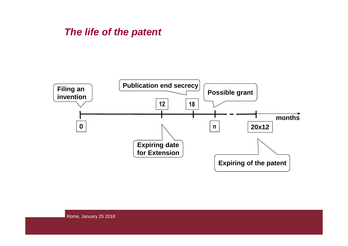### **The life of the patent**

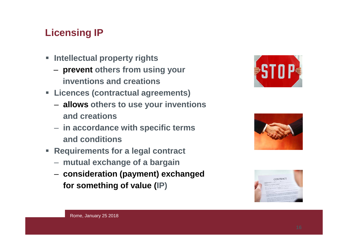# **Licensing IP**

- $\blacksquare$  **Intellectual property rights** 
	- **prevent others from using your inventions and creations**
- **Licences (contractual agreements)**
	- **allows others to use your inventions and creations**
	- **in accordance with specific terms and conditions**
- **Requirements for a legal contract** 
	- **mutual exchange of a bargain**
	- **consideration (payment) exchanged for something of value (IP)**





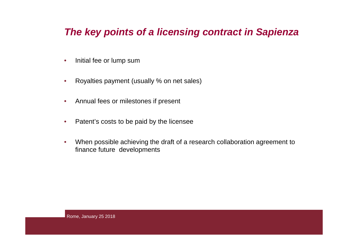### **The key points of a licensing contract in Sapienza**

- $\bullet$ Initial fee or lump sum
- $\bullet$ Royalties payment (usually % on net sales)
- $\bullet$ Annual fees or milestones if present
- $\bullet$ Patent's costs to be paid by the licensee
- $\bullet$  When possible achieving the draft of a research collaboration agreement to finance future developments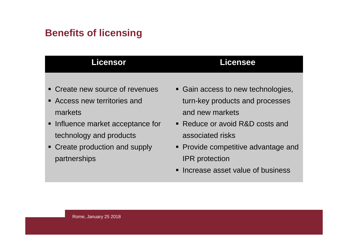# **Benefits of licensing**

| <b>Licensor</b>                   | Licensee                            |
|-----------------------------------|-------------------------------------|
|                                   |                                     |
| • Create new source of revenues   | • Gain access to new technologies,  |
| Access new territories and        | turn-key products and processes     |
| markets                           | and new markets                     |
| • Influence market acceptance for | • Reduce or avoid R&D costs and     |
| technology and products           | associated risks                    |
| • Create production and supply    | • Provide competitive advantage and |
| partnerships                      | <b>IPR</b> protection               |

**Increase asset value of business**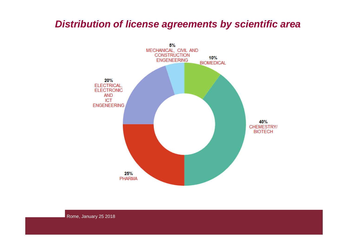### **Distribution of license agreements by scientific area**

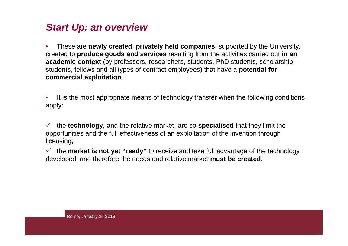### **Start Up: an overview**

• These are **newly created**, **privately held companies**, supported by the University, created to **produce goods and services** resulting from the activities carried out **in an academic context** (by professors, researchers, students, PhD students, scholarship students, fellows and all types of contract employees) that have a **potential for commercial exploitation**.

• It is the most appropriate means of technology transfer when the following conditions apply:

 the **technology**, and the relative market, are so **specialised** that they limit the opportunities and the full effectiveness of an exploitation of the invention through licensing;

 the **market is not yet "ready"** to receive and take full advantage of the technology developed, and therefore the needs and relative market **must be created**.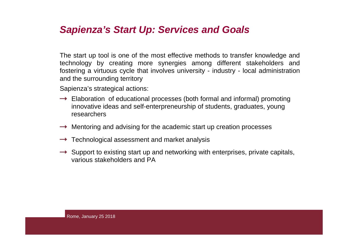### **Sapienza's Start Up: Services and Goals**

The start up tool is one of the most effective methods to transfer knowledge and technology by creating more synergies among different stakeholders and fostering <sup>a</sup> virtuous cycle that involves university - industry - local administrationand the surrounding territory

Sapienza's strategical actions:

- $\rightarrow$  Elaboration of educational processes (both formal and informal) promoting innovative ideas and self-enterpreneurship of students, graduates, young researchers
- $\rightarrow$  Mentoring and advising for the academic start up creation processes
- $\rightarrow$  Technological assessment and market analysis
- $\rightarrow$  Support to existing start up and networking with enterprises, private capitals, various stakeholders and PA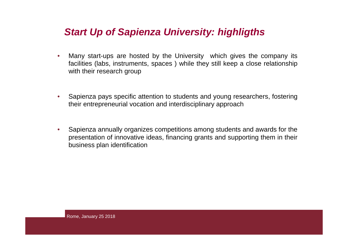### **Start Up of Sapienza University: highligths**

- • Many start-ups are hosted by the University which gives the company its facilities (labs, instruments, spaces ) while they still keep <sup>a</sup> close relationshipwith their research group
- $\bullet$  Sapienza pays specific attention to students and young researchers, fosteringtheir entrepreneurial vocation and interdisciplinary approach
- $\bullet$  Sapienza annually organizes competitions among students and awards for the presentation of innovative ideas, financing grants and supporting them in theirbusiness plan identification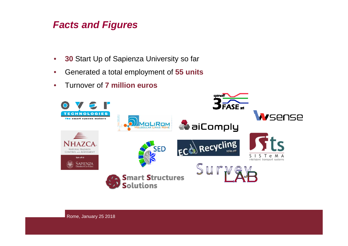### **Facts and Figures**

- $\bullet$ **<sup>30</sup>**Start Up of Sapienza University so far
- •Generated a total employment of **55 units**
- •Turnover of **7 million euros**